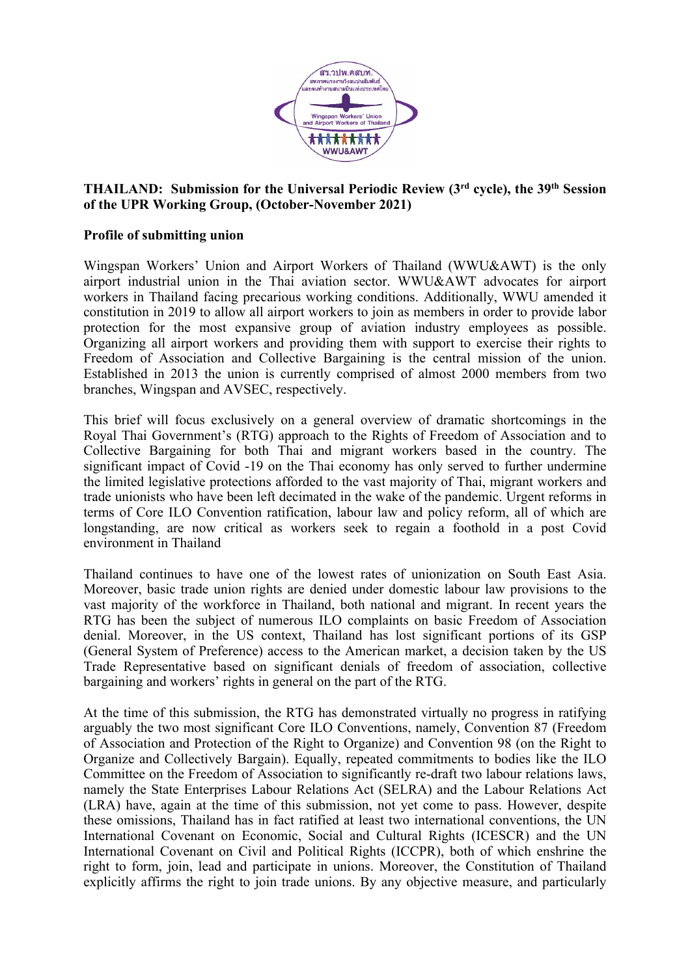

## **THAILAND: Submission for the Universal Periodic Review (3rd cycle), the 39th Session of the UPR Working Group, (October-November 2021)**

## **Profile of submitting union**

Wingspan Workers' Union and Airport Workers of Thailand (WWU&AWT) is the only airport industrial union in the Thai aviation sector. WWU&AWT advocates for airport workers in Thailand facing precarious working conditions. Additionally, WWU amended it constitution in 2019 to allow all airport workers to join as members in order to provide labor protection for the most expansive group of aviation industry employees as possible. Organizing all airport workers and providing them with suppor<sup>t</sup> to exercise their rights to Freedom of Association and Collective Bargaining is the central mission of the union. Established in 2013 the union is currently comprised of almost 2000 members from two branches, Wingspan and AVSEC, respectively.

This brief will focus exclusively on <sup>a</sup> general overview of dramatic shortcomings in the Royal Thai Government'<sup>s</sup> (RTG) approach to the Rights of Freedom of Association and to Collective Bargaining for both Thai and migrant workers based in the country. The significant impact of Covid -19 on the Thai economy has only served to further undermine the limited legislative protections afforded to the vast majority of Thai, migrant workers and trade unionists who have been left decimated in the wake of the pandemic. Urgent reforms in terms of Core ILO Convention ratification, labour law and policy reform, all of which are longstanding, are now critical as workers seek to regain <sup>a</sup> foothold in <sup>a</sup> pos<sup>t</sup> Covid environment in Thailand

Thailand continues to have one of the lowest rates of unionization on South East Asia. Moreover, basic trade union rights are denied under domestic labour law provisions to the vast majority of the workforce in Thailand, both national and migrant. In recent years the RTG has been the subject of numerous ILO complaints on basic Freedom of Association denial. Moreover, in the US context, Thailand has lost significant portions of its GSP (General System of Preference) access to the American market, <sup>a</sup> decision taken by the US Trade Representative based on significant denials of freedom of association, collective bargaining and workers' rights in general on the par<sup>t</sup> of the RTG.

At the time of this submission, the RTG has demonstrated virtually no progress in ratifying arguably the two most significant Core ILO Conventions, namely, Convention 87 (Freedom of Association and Protection of the Right to Organize) and Convention 98 (on the Right to Organize and Collectively Bargain). Equally, repeated commitments to bodies like the ILO Committee on the Freedom of Association to significantly re-draft two labour relations laws, namely the State Enterprises Labour Relations Act (SELRA) and the Labour Relations Act (LRA) have, again at the time of this submission, not ye<sup>t</sup> come to pass. However, despite these omissions, Thailand has in fact ratified at least two international conventions, the UN International Covenant on Economic, Social and Cultural Rights (ICESCR) and the UN International Covenant on Civil and Political Rights (ICCPR), both of which enshrine the right to form, join, lead and participate in unions. Moreover, the Constitution of Thailand explicitly affirms the right to join trade unions. By any objective measure, and particularly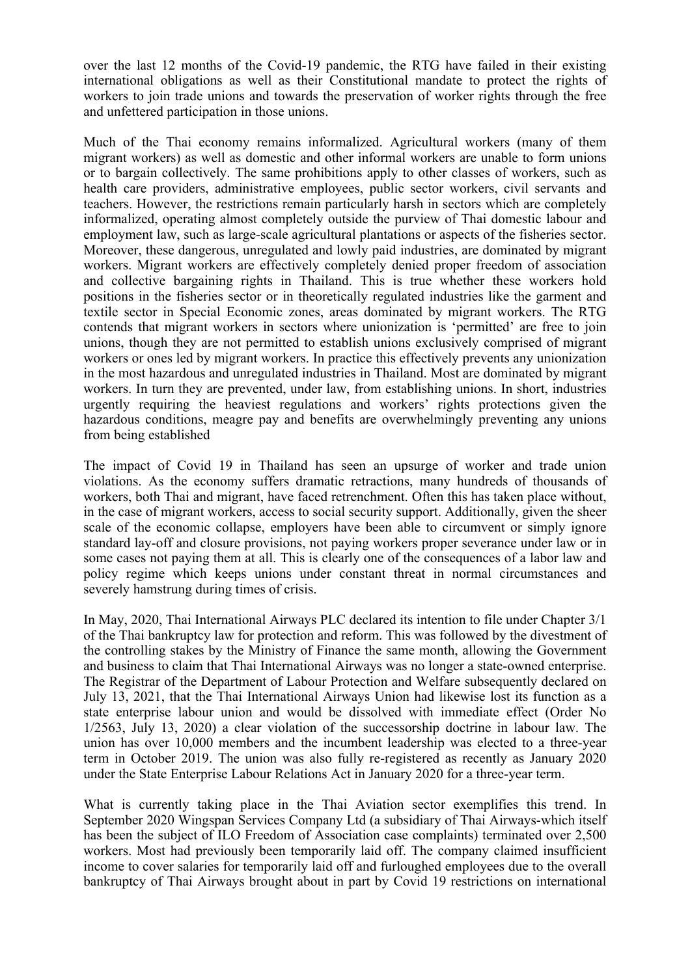over the last 12 months of the Covid-19 pandemic, the RTG have failed in their existing international obligations as well as their Constitutional mandate to protect the rights of workers to join trade unions and towards the preservation of worker rights through the free and unfettered participation in those unions.

Much of the Thai economy remains informalized. Agricultural workers (many of them migrant workers) as well as domestic and other informal workers are unable to form unions or to bargain collectively. The same prohibitions apply to other classes of workers, such as health care providers, administrative employees, public sector workers, civil servants and teachers. However, the restrictions remain particularly harsh in sectors which are completely informalized, operating almost completely outside the purview of Thai domestic labour and employment law, such as large-scale agricultural plantations or aspects of the fisheries sector. Moreover, these dangerous, unregulated and lowly paid industries, are dominated by migrant workers. Migrant workers are effectively completely denied proper freedom of association and collective bargaining rights in Thailand. This is true whether these workers hold positions in the fisheries sector or in theoretically regulated industries like the garmen<sup>t</sup> and textile sector in Special Economic zones, areas dominated by migrant workers. The RTG contends that migrant workers in sectors where unionization is 'permitted' are free to join unions, though they are not permitted to establish unions exclusively comprised of migrant workers or ones led by migrant workers. In practice this effectively prevents any unionization in the most hazardous and unregulated industries in Thailand. Most are dominated by migrant workers. In turn they are prevented, under law, from establishing unions. In short, industries urgently requiring the heaviest regulations and workers' rights protections given the hazardous conditions, meagre pay and benefits are overwhelmingly preventing any unions from being established

The impact of Covid 19 in Thailand has seen an upsurge of worker and trade union violations. As the economy suffers dramatic retractions, many hundreds of thousands of workers, both Thai and migrant, have faced retrenchment. Often this has taken place without, in the case of migrant workers, access to social security support. Additionally, given the sheer scale of the economic collapse, employers have been able to circumvent or simply ignore standard lay-off and closure provisions, not paying workers proper severance under law or in some cases not paying them at all. This is clearly one of the consequences of <sup>a</sup> labor law and policy regime which keeps unions under constant threat in normal circumstances and severely hamstrung during times of crisis.

In May, 2020, Thai International Airways PLC declared its intention to file under Chapter 3/1 of the Thai bankruptcy law for protection and reform. This was followed by the divestment of the controlling stakes by the Ministry of Finance the same month, allowing the Government and business to claim that Thai International Airways was no longer <sup>a</sup> state-owned enterprise. The Registrar of the Department of Labour Protection and Welfare subsequently declared on July 13, 2021, that the Thai International Airways Union had likewise lost its function as <sup>a</sup> state enterprise labour union and would be dissolved with immediate effect (Order No 1/2563, July 13, 2020) <sup>a</sup> clear violation of the successorship doctrine in labour law. The union has over 10,000 members and the incumbent leadership was elected to <sup>a</sup> three-year term in October 2019. The union was also fully re-registered as recently as January 2020 under the State Enterprise Labour Relations Act in January 2020 for <sup>a</sup> three-year term.

What is currently taking place in the Thai Aviation sector exemplifies this trend. In September 2020 Wingspan Services Company Ltd (a subsidiary of Thai Airways-which itself has been the subject of ILO Freedom of Association case complaints) terminated over 2,500 workers. Most had previously been temporarily laid off. The company claimed insufficient income to cover salaries for temporarily laid off and furloughed employees due to the overall bankruptcy of Thai Airways brought about in par<sup>t</sup> by Covid 19 restrictions on international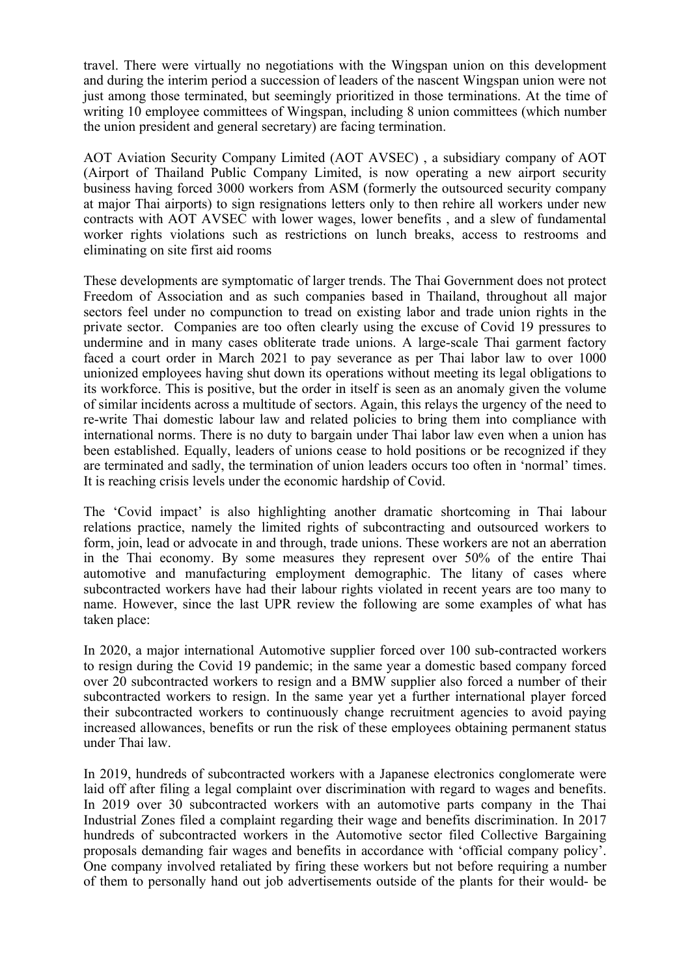travel. There were virtually no negotiations with the Wingspan union on this development and during the interim period <sup>a</sup> succession of leaders of the nascent Wingspan union were not just among those terminated, but seemingly prioritized in those terminations. At the time of writing 10 employee committees of Wingspan, including 8 union committees (which number the union president and general secretary) are facing termination.

AOT Aviation Security Company Limited (AOT AVSEC) , <sup>a</sup> subsidiary company of AOT (Airport of Thailand Public Company Limited, is now operating <sup>a</sup> new airport security business having forced 3000 workers from ASM (formerly the outsourced security company at major Thai airports) to sign resignations letters only to then rehire all workers under new contracts with AOT AVSEC with lower wages, lower benefits , and <sup>a</sup> slew of fundamental worker rights violations such as restrictions on lunch breaks, access to restrooms and eliminating on site first aid rooms

These developments are symptomatic of larger trends. The Thai Government does not protect Freedom of Association and as such companies based in Thailand, throughout all major sectors feel under no compunction to tread on existing labor and trade union rights in the private sector. Companies are too often clearly using the excuse of Covid 19 pressures to undermine and in many cases obliterate trade unions. A large-scale Thai garmen<sup>t</sup> factory faced <sup>a</sup> court order in March 2021 to pay severance as per Thai labor law to over 1000 unionized employees having shut down its operations without meeting its legal obligations to its workforce. This is positive, but the order in itself is seen as an anomaly given the volume of similar incidents across <sup>a</sup> multitude of sectors. Again, this relays the urgency of the need to re-write Thai domestic labour law and related policies to bring them into compliance with international norms. There is no duty to bargain under Thai labor law even when <sup>a</sup> union has been established. Equally, leaders of unions cease to hold positions or be recognized if they are terminated and sadly, the termination of union leaders occurs too often in 'normal' times. It is reaching crisis levels under the economic hardship of Covid.

The 'Covid impact' is also highlighting another dramatic shortcoming in Thai labour relations practice, namely the limited rights of subcontracting and outsourced workers to form, join, lead or advocate in and through, trade unions. These workers are not an aberration in the Thai economy. By some measures they represen<sup>t</sup> over 50% of the entire Thai automotive and manufacturing employment demographic. The litany of cases where subcontracted workers have had their labour rights violated in recent years are too many to name. However, since the last UPR review the following are some examples of what has taken place:

In 2020, <sup>a</sup> major international Automotive supplier forced over 100 sub-contracted workers to resign during the Covid 19 pandemic; in the same year <sup>a</sup> domestic based company forced over 20 subcontracted workers to resign and <sup>a</sup> BMW supplier also forced <sup>a</sup> number of their subcontracted workers to resign. In the same year ye<sup>t</sup> <sup>a</sup> further international player forced their subcontracted workers to continuously change recruitment agencies to avoid paying increased allowances, benefits or run the risk of these employees obtaining permanen<sup>t</sup> status under Thai law.

In 2019, hundreds of subcontracted workers with <sup>a</sup> Japanese electronics conglomerate were laid off after filing <sup>a</sup> legal complaint over discrimination with regard to wages and benefits. In 2019 over 30 subcontracted workers with an automotive parts company in the Thai Industrial Zones filed <sup>a</sup> complaint regarding their wage and benefits discrimination. In 2017 hundreds of subcontracted workers in the Automotive sector filed Collective Bargaining proposals demanding fair wages and benefits in accordance with 'official company policy'. One company involved retaliated by firing these workers but not before requiring <sup>a</sup> number of them to personally hand out job advertisements outside of the plants for their would- be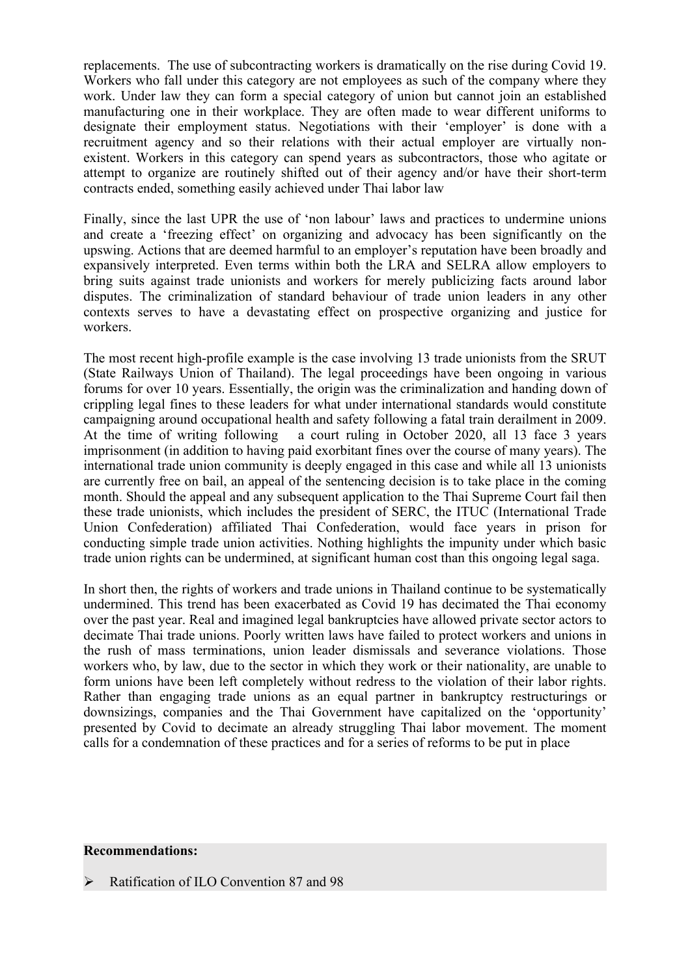replacements. The use of subcontracting workers is dramatically on the rise during Covid 19. Workers who fall under this category are not employees as such of the company where they work. Under law they can form <sup>a</sup> special category of union but cannot join an established manufacturing one in their workplace. They are often made to wear different uniforms to designate their employment status. Negotiations with their 'employer' is done with <sup>a</sup> recruitment agency and so their relations with their actual employer are virtually nonexistent. Workers in this category can spend years as subcontractors, those who agitate or attempt to organize are routinely shifted out of their agency and/or have their short-term contracts ended, something easily achieved under Thai labor law

Finally, since the last UPR the use of 'non labour' laws and practices to undermine unions and create <sup>a</sup> 'freezing effect' on organizing and advocacy has been significantly on the upswing. Actions that are deemed harmful to an employer'<sup>s</sup> reputation have been broadly and expansively interpreted. Even terms within both the LRA and SELRA allow employers to bring suits against trade unionists and workers for merely publicizing facts around labor disputes. The criminalization of standard behaviour of trade union leaders in any other contexts serves to have <sup>a</sup> devastating effect on prospective organizing and justice for workers.

The most recent high-profile example is the case involving 13 trade unionists from the SRUT (State Railways Union of Thailand). The legal proceedings have been ongoing in various forums for over 10 years. Essentially, the origin was the criminalization and handing down of crippling legal fines to these leaders for what under international standards would constitute campaigning around occupational health and safety following <sup>a</sup> fatal train derailment in 2009. At the time of writing following <sup>a</sup> court ruling in October 2020, all 13 face 3 years imprisonment (in addition to having paid exorbitant fines over the course of many years). The international trade union community is deeply engaged in this case and while all 13 unionists are currently free on bail, an appeal of the sentencing decision is to take place in the coming month. Should the appeal and any subsequent application to the Thai Supreme Court fail then these trade unionists, which includes the president of SERC, the ITUC (International Trade Union Confederation) affiliated Thai Confederation, would face years in prison for conducting simple trade union activities. Nothing highlights the impunity under which basic trade union rights can be undermined, at significant human cost than this ongoing legal saga.

In short then, the rights of workers and trade unions in Thailand continue to be systematically undermined. This trend has been exacerbated as Covid 19 has decimated the Thai economy over the pas<sup>t</sup> year. Real and imagined legal bankruptcies have allowed private sector actors to decimate Thai trade unions. Poorly written laws have failed to protect workers and unions in the rush of mass terminations, union leader dismissals and severance violations. Those workers who, by law, due to the sector in which they work or their nationality, are unable to form unions have been left completely without redress to the violation of their labor rights. Rather than engaging trade unions as an equal partner in bankruptcy restructurings or downsizings, companies and the Thai Government have capitalized on the 'opportunity' presented by Covid to decimate an already struggling Thai labor movement. The moment calls for <sup>a</sup> condemnation of these practices and for <sup>a</sup> series of reforms to be pu<sup>t</sup> in place

## **Recommendations:**

Ratification of ILO Convention 87 and 98